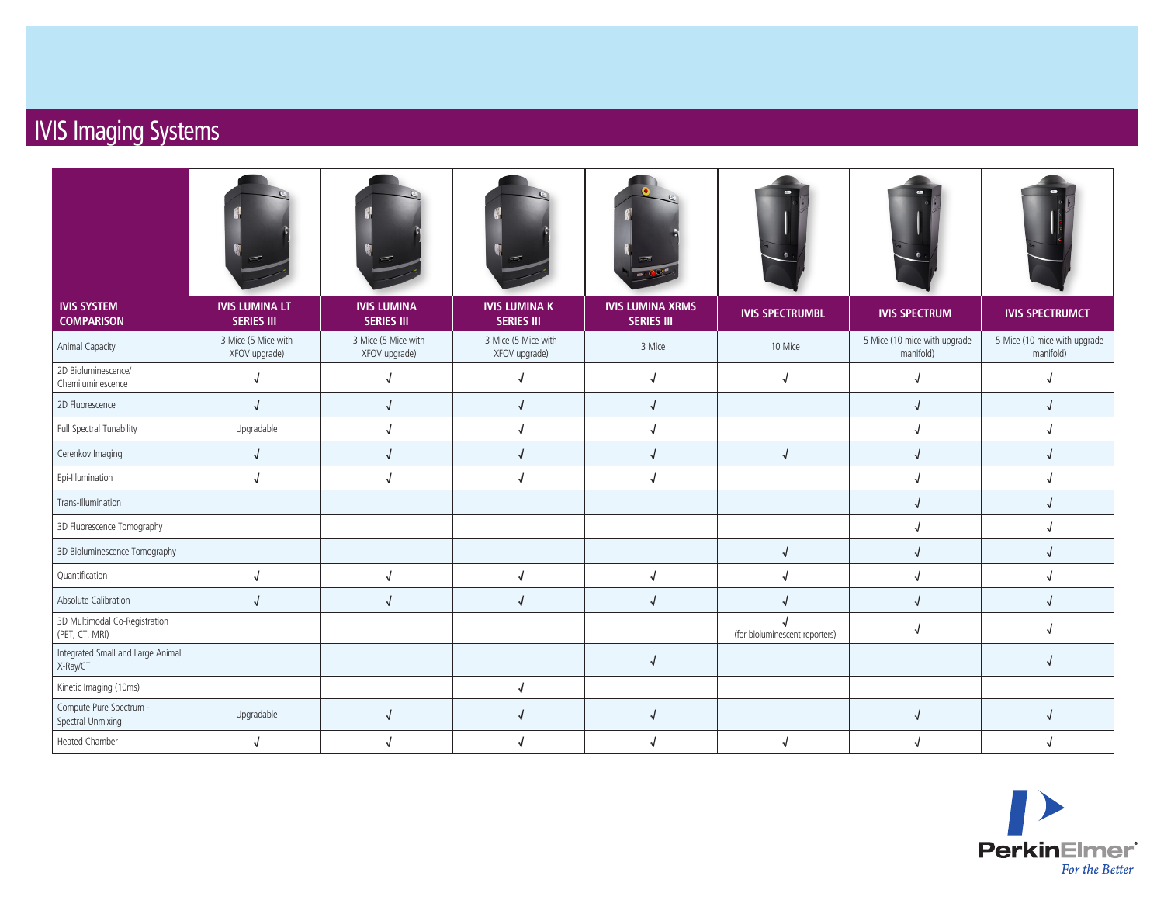## IVIS Imaging Systems

| <b>IVIS SYSTEM</b><br><b>COMPARISON</b>         | <b>IVIS LUMINA LT</b><br><b>SERIES III</b> | <b>IVIS LUMINA</b><br><b>SERIES III</b> | <b>IVIS LUMINA K</b><br><b>SERIES III</b> | <b>IVIS LUMINA XRMS</b><br><b>SERIES III</b> | <b>IVIS SPECTRUMBL</b>         | <b>IVIS SPECTRUM</b>                      | <b>IVIS SPECTRUMCT</b>                    |
|-------------------------------------------------|--------------------------------------------|-----------------------------------------|-------------------------------------------|----------------------------------------------|--------------------------------|-------------------------------------------|-------------------------------------------|
| Animal Capacity                                 | 3 Mice (5 Mice with<br>XFOV upgrade)       | 3 Mice (5 Mice with<br>XFOV upgrade)    | 3 Mice (5 Mice with<br>XFOV upgrade)      | 3 Mice                                       | 10 Mice                        | 5 Mice (10 mice with upgrade<br>manifold) | 5 Mice (10 mice with upgrade<br>manifold) |
| 2D Bioluminescence/<br>Chemiluminescence        | J                                          | $\sqrt{ }$                              | $\sqrt{2}$                                | $\sqrt{ }$                                   | √                              | $\sqrt{2}$                                |                                           |
| 2D Fluorescence                                 | J                                          | $\sqrt{2}$                              | $\sqrt{2}$                                | $\sqrt{ }$                                   |                                |                                           | $\sqrt{2}$                                |
| Full Spectral Tunability                        | Upgradable                                 | $\sqrt{ }$                              | J                                         | $\sqrt{ }$                                   |                                |                                           |                                           |
| Cerenkov Imaging                                | $\sqrt{2}$                                 | $\sqrt{2}$                              | $\sqrt{2}$                                | $\sqrt{2}$                                   | $\sqrt{2}$                     |                                           |                                           |
| Epi-Illumination                                | J                                          |                                         | $\sqrt{2}$                                | $\sqrt{ }$                                   |                                |                                           |                                           |
| Trans-Illumination                              |                                            |                                         |                                           |                                              |                                |                                           |                                           |
| 3D Fluorescence Tomography                      |                                            |                                         |                                           |                                              |                                |                                           |                                           |
| 3D Bioluminescence Tomography                   |                                            |                                         |                                           |                                              | $\sqrt{ }$                     | $\sqrt{2}$                                |                                           |
| Quantification                                  | $\sqrt{\phantom{a}}$                       | $\sqrt{2}$                              | $\sqrt{ }$                                | $\sqrt{ }$                                   | $\sqrt{2}$                     |                                           | $\sqrt{2}$                                |
| Absolute Calibration                            | $\sqrt{2}$                                 | $\sqrt{2}$                              | $\sqrt{2}$                                | $\sqrt{ }$                                   |                                |                                           | $\sqrt{2}$                                |
| 3D Multimodal Co-Registration<br>(PET, CT, MRI) |                                            |                                         |                                           |                                              | (for bioluminescent reporters) |                                           |                                           |
| Integrated Small and Large Animal<br>X-Ray/CT   |                                            |                                         |                                           | $\sqrt{ }$                                   |                                |                                           |                                           |
| Kinetic Imaging (10ms)                          |                                            |                                         | $\sqrt{2}$                                |                                              |                                |                                           |                                           |
| Compute Pure Spectrum -<br>Spectral Unmixing    | Upgradable                                 | $\sqrt{2}$                              | $\sqrt{2}$                                | $\sqrt{ }$                                   |                                | √                                         | $\sqrt{2}$                                |
| <b>Heated Chamber</b>                           |                                            |                                         |                                           |                                              |                                |                                           |                                           |